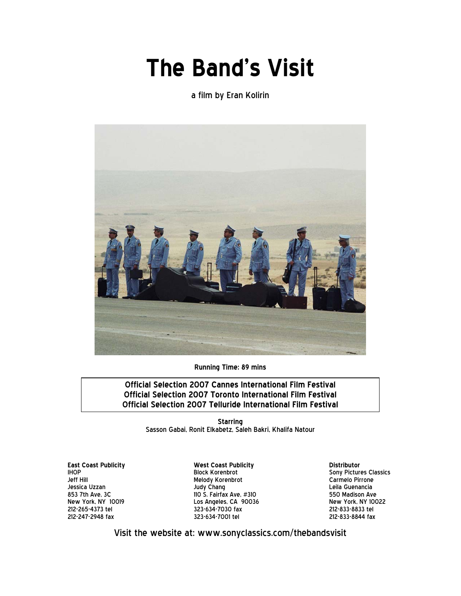# **The Band's Visit**

a film by Eran Kolirin



**Running Time: 89 mins**

**Official Selection 2007 Cannes International Film Festival Official Selection 2007 Toronto International Film Festival Official Selection 2007 Telluride International Film Festival**

> **Starring** Sasson Gabai, Ronit Elkabetz, Saleh Bakri, Khalifa Natour

**East Coast Publicity** IHOP Jeff Hill Jessica Uzzan 853 7th Ave, 3C New York, NY 10019 212-265-4373 tel 212-247-2948 fax

**West Coast Publicity** Block Korenbrot Melody Korenbrot Judy Chang 110 S. Fairfax Ave, #310 Los Angeles, CA 90036 323-634-7030 fax 323-634-7001 tel

**Distributor** Sony Pictures Classics Carmelo Pirrone Leila Guenancia 550 Madison Ave New York, NY 10022 212-833-8833 tel 212-833-8844 fax

Visit the website at: www.sonyclassics.com/thebandsvisit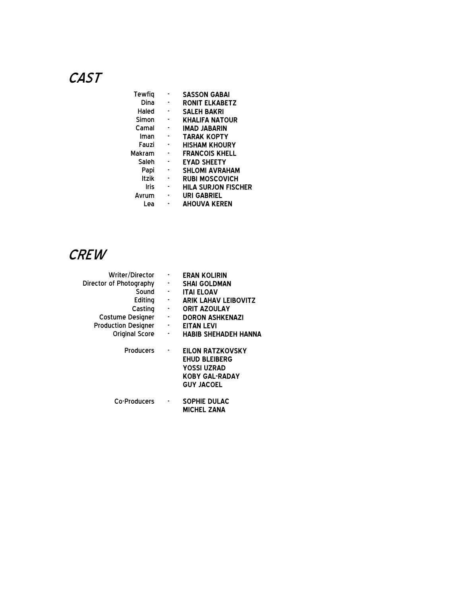# **CAST**

| Tewfig       | <b>SASSON GABAI</b>        |
|--------------|----------------------------|
| Dina         | <b>RONIT ELKABETZ</b>      |
| Haled        | <b>SALEH BAKRI</b>         |
| Simon        | <b>KHALIFA NATOUR</b>      |
| Camal        | <b>IMAD JABARIN</b>        |
| Iman         | <b>TARAK KOPTY</b>         |
| Fauzi        | <b>HISHAM KHOURY</b>       |
| Makram       | <b>FRANCOIS KHELL</b>      |
| Saleh        | <b>EYAD SHEETY</b>         |
| Papi         | <b>SHLOMI AVRAHAM</b>      |
| <b>Itzik</b> | <b>RUBI MOSCOVICH</b>      |
| Iris         | <b>HILA SURJON FISCHER</b> |
| Avrum        | URI GABRIEL                |
| Lea          | <b>AHOUVA KEREN</b>        |

# **CREW**

| Writer/Director            | ۰                        | <b>ERAN KOLIRIN</b>         |
|----------------------------|--------------------------|-----------------------------|
| Director of Photography    | ٠                        | <b>SHAI GOLDMAN</b>         |
| Sound                      | ۰                        | <b>ITAI ELOAV</b>           |
| Editing                    | <b>Service</b>           | <b>ARIK LAHAV LEIBOVITZ</b> |
| Casting                    | $\overline{\phantom{a}}$ | <b>ORIT AZOULAY</b>         |
| Costume Designer           | $\sigma_{\rm{max}}$      | <b>DORON ASHKENAZI</b>      |
| <b>Production Designer</b> | ۰                        | EITAN LEVI                  |
| <b>Original Score</b>      | ٠                        | <b>HABIB SHEHADEH HANNA</b> |
| Producers                  | ٠                        | EILON RATZKOVSKY            |
|                            |                          | <b>EHUD BLEIBERG</b>        |
|                            |                          | YOSSI UZRAD                 |
|                            |                          | <b>KOBY GAL-RADAY</b>       |
|                            |                          | <b>GUY JACOEL</b>           |
| Co-Producers               | ٠                        | SOPHIE DULAC                |
|                            |                          | <b>MICHEL ZANA</b>          |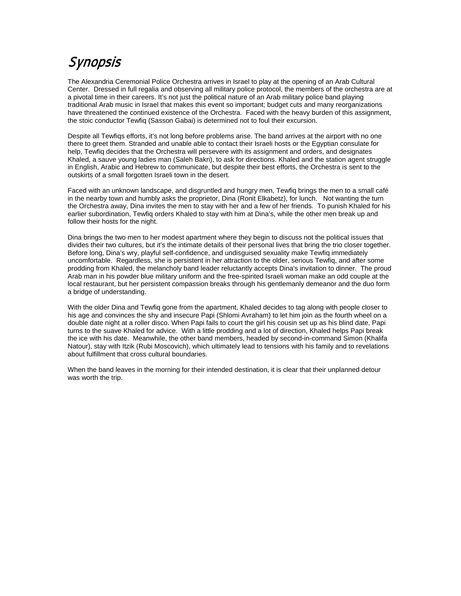# Synopsis

The Alexandria Ceremonial Police Orchestra arrives in Israel to play at the opening of an Arab Cultural Center. Dressed in full regalia and observing all military police protocol, the members of the orchestra are at a pivotal time in their careers. It's not just the political nature of an Arab military police band playing traditional Arab music in Israel that makes this event so important; budget cuts and many reorganizations have threatened the continued existence of the Orchestra. Faced with the heavy burden of this assignment, the stoic conductor Tewfiq (Sasson Gabai) is determined not to foul their excursion.

Despite all Tewfiqs efforts, it's not long before problems arise. The band arrives at the airport with no one there to greet them. Stranded and unable able to contact their Israeli hosts or the Egyptian consulate for help, Tewfiq decides that the Orchestra will persevere with its assignment and orders, and designates Khaled, a sauve young ladies man (Saleh Bakri), to ask for directions. Khaled and the station agent struggle in English, Arabic and Hebrew to communicate, but despite their best efforts, the Orchestra is sent to the outskirts of a small forgotten Israeli town in the desert.

Faced with an unknown landscape, and disgruntled and hungry men, Tewfiq brings the men to a small café in the nearby town and humbly asks the proprietor, Dina (Ronit Elkabetz), for lunch. Not wanting the turn the Orchestra away, Dina invites the men to stay with her and a few of her friends. To punish Khaled for his earlier subordination, Tewfiq orders Khaled to stay with him at Dina's, while the other men break up and follow their hosts for the night.

Dina brings the two men to her modest apartment where they begin to discuss not the political issues that divides their two cultures, but it's the intimate details of their personal lives that bring the trio closer together. Before long, Dina's wry, playful self-confidence, and undisguised sexuality make Tewfiq immediately uncomfortable. Regardless, she is persistent in her attraction to the older, serious Tewfiq, and after some prodding from Khaled, the melancholy band leader reluctantly accepts Dina's invitation to dinner. The proud Arab man in his powder blue military uniform and the free-spirited Israeli woman make an odd couple at the local restaurant, but her persistent compassion breaks through his gentlemanly demeanor and the duo form a bridge of understanding.

With the older Dina and Tewfiq gone from the apartment, Khaled decides to tag along with people closer to his age and convinces the shy and insecure Papi (Shlomi Avraham) to let him join as the fourth wheel on a double date night at a roller disco. When Papi fails to court the girl his cousin set up as his blind date, Papi turns to the suave Khaled for advice. With a little prodding and a lot of direction, Khaled helps Papi break the ice with his date. Meanwhile, the other band members, headed by second-in-command Simon (Khalifa Natour), stay with Itzik (Rubi Moscovich), which ultimately lead to tensions with his family and to revelations about fulfillment that cross cultural boundaries.

When the band leaves in the morning for their intended destination, it is clear that their unplanned detour was worth the trip.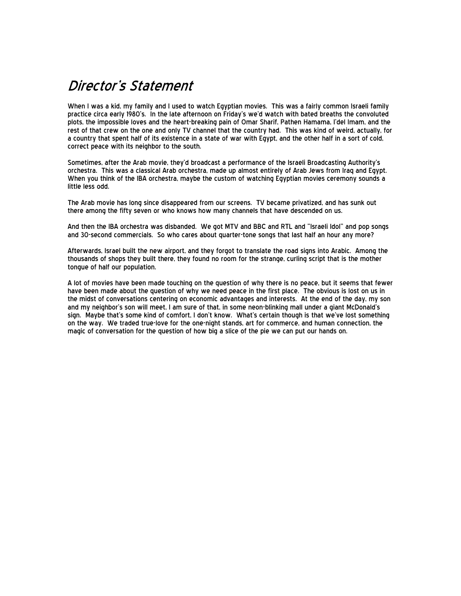# Director's Statement

When I was a kid, my family and I used to watch Egyptian movies. This was a fairly common Israeli family practice circa early 1980's. In the late afternoon on Friday's we'd watch with bated breaths the convoluted plots, the impossible loves and the heart-breaking pain of Omar Sharif, Pathen Hamama, I'del Imam, and the rest of that crew on the one and only TV channel that the country had. This was kind of weird, actually, for a country that spent half of its existence in a state of war with Egypt, and the other half in a sort of cold, correct peace with its neighbor to the south.

Sometimes, after the Arab movie, they'd broadcast a performance of the Israeli Broadcasting Authority's orchestra. This was a classical Arab orchestra, made up almost entirely of Arab Jews from Iraq and Egypt. When you think of the IBA orchestra, maybe the custom of watching Egyptian movies ceremony sounds a little less odd.

The Arab movie has long since disappeared from our screens. TV became privatized, and has sunk out there among the fifty seven or who knows how many channels that have descended on us.

And then the IBA orchestra was disbanded. We got MTV and BBC and RTL and "Israeli Idol" and pop songs and 30-second commercials. So who cares about quarter-tone songs that last half an hour any more?

Afterwards, Israel built the new airport, and they forgot to translate the road signs into Arabic. Among the thousands of shops they built there, they found no room for the strange, curling script that is the mother tongue of half our population.

A lot of movies have been made touching on the question of why there is no peace, but it seems that fewer have been made about the question of why we need peace in the first place. The obvious is lost on us in the midst of conversations centering on economic advantages and interests. At the end of the day, my son and my neighbor's son will meet, I am sure of that, in some neon-blinking mall under a giant McDonald's sign. Maybe that's some kind of comfort, I don't know. What's certain though is that we've lost something on the way. We traded true-love for the one-night stands, art for commerce, and human connection, the magic of conversation for the question of how big a slice of the pie we can put our hands on.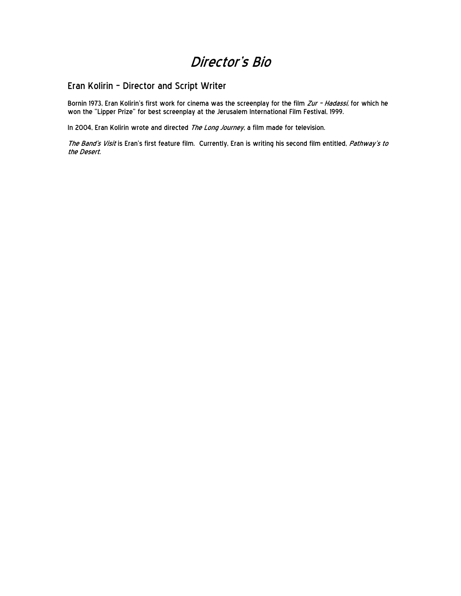### Director's Bio

#### Eran Kolirin – Director and Script Writer

Bornin 1973, Eran Kolirin's first work for cinema was the screenplay for the film *Zur - Hadassi,* for which he won the "Lipper Prize" for best screenplay at the Jerusalem International Film Festival, 1999.

In 2004, Eran Kolirin wrote and directed The Long Journey, a film made for television.

The Band's Visit is Eran's first feature film. Currently, Eran is writing his second film entitled, Pathway's to the Desert.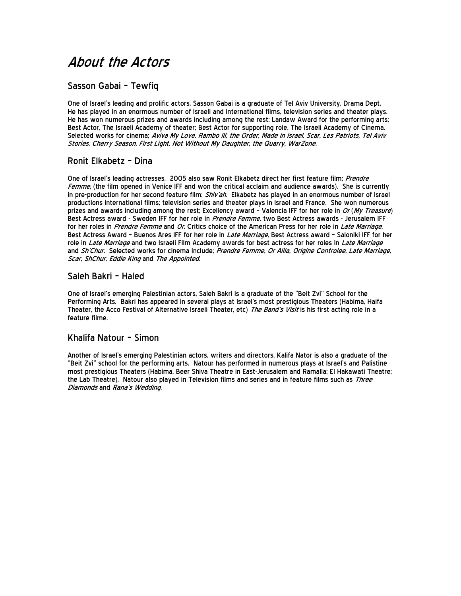# About the Actors

#### Sasson Gabai – Tewfiq

One of Israel's leading and prolific actors, Sasson Gabai is a graduate of Tel Aviv University, Drama Dept. He has played in an enormous number of Israeli and international films, television series and theater plays. He has won numerous prizes and awards including among the rest: Landaw Award for the performing arts; Best Actor, The Israeli Academy of theater; Best Actor for supporting role, The Israeli Academy of Cinema. Selected works for cinema; Aviva My Love, Rambo III, the Order, Made in Israel, Scar, Les Patriots, Tel Aviv Stories, Cherry Season, First Light, Not Without My Daughter, the Quarry, WarZone.

#### Ronit Elkabetz – Dina

One of Israel's leading actresses. 2005 also saw Ronit Elkabetz direct her first feature film; Prendre Femme, (the film opened in Venice IFF and won the critical acclaim and audience awards). She is currently in pre-production for her second feature film; Shiv'ah. Elkabetz has played in an enormous number of Israel productions international films; television series and theater plays in Israel and France. She won numerous prizes and awards including among the rest; Excellency award - Valencia IFF for her role in Or (My Treasure) Best Actress award - Sweden IFF for her role in *Prendre Femme,* two Best Actress awards - Jerusalem IFF<br>for her roles in *Prendre Femme* and *Or.* Critics choice of the American Press for her role in *Late Marriage*. Best Actress Award - Buenos Ares IFF for her role in *Late Marriage*, Best Actress award - Saloniki IFF for her role in Late Marriage and two Israeli Film Academy awards for best actress for her roles in Late Marriage and Sh'Chur. Selected works for cinema include; Prendre Femme, Or Alila, Origine Controlee, Late Marriage, Scar, ShChur, Eddie King and The Appointed.

#### Saleh Bakri – Haled

One of Israel's emerging Palestinian actors, Saleh Bakri is a graduate of the "Beit Zvi" School for the Performing Arts. Bakri has appeared in several plays at Israel's most prestigious Theaters (Habima, Haifa Theater, the Acco Festival of Alternative Israeli Theater, etc) The Band's Visit is his first acting role in a feature filme.

#### Khalifa Natour – Simon

Another of Israel's emerging Palestinian actors, writers and directors, Kalifa Nator is also a graduate of the "Beit Zvi" school for the performing arts. Natour has performed in numerous plays at Israel's and Palistine most prestigious Theaters (Habima, Beer Shiva Theatre in East-Jerusalem and Ramalla; El Hakawati Theatre; the Lab Theatre). Natour also played in Television films and series and in feature films such as Three Diamonds and Rana's Wedding.